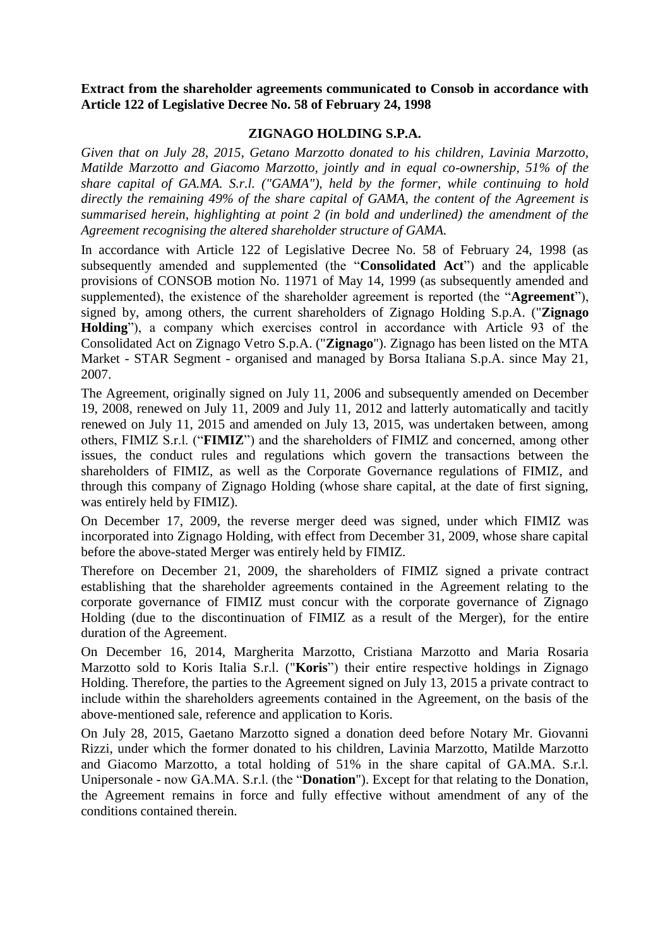**Extract from the shareholder agreements communicated to Consob in accordance with Article 122 of Legislative Decree No. 58 of February 24, 1998** 

#### **ZIGNAGO HOLDING S.P.A.**

*Given that on July 28, 2015, Getano Marzotto donated to his children, Lavinia Marzotto, Matilde Marzotto and Giacomo Marzotto, jointly and in equal co-ownership, 51% of the share capital of GA.MA. S.r.l. ("GAMA"), held by the former, while continuing to hold directly the remaining 49% of the share capital of GAMA, the content of the Agreement is summarised herein, highlighting at point 2 (in bold and underlined) the amendment of the Agreement recognising the altered shareholder structure of GAMA.*

In accordance with Article 122 of Legislative Decree No. 58 of February 24, 1998 (as subsequently amended and supplemented (the "**Consolidated Act**") and the applicable provisions of CONSOB motion No. 11971 of May 14, 1999 (as subsequently amended and supplemented), the existence of the shareholder agreement is reported (the "**Agreement**"), signed by, among others, the current shareholders of Zignago Holding S.p.A. ("**Zignago Holding**"), a company which exercises control in accordance with Article 93 of the Consolidated Act on Zignago Vetro S.p.A. ("**Zignago**"). Zignago has been listed on the MTA Market - STAR Segment - organised and managed by Borsa Italiana S.p.A. since May 21, 2007.

The Agreement, originally signed on July 11, 2006 and subsequently amended on December 19, 2008, renewed on July 11, 2009 and July 11, 2012 and latterly automatically and tacitly renewed on July 11, 2015 and amended on July 13, 2015, was undertaken between, among others, FIMIZ S.r.l. ("**FIMIZ**") and the shareholders of FIMIZ and concerned, among other issues, the conduct rules and regulations which govern the transactions between the shareholders of FIMIZ, as well as the Corporate Governance regulations of FIMIZ, and through this company of Zignago Holding (whose share capital, at the date of first signing, was entirely held by FIMIZ).

On December 17, 2009, the reverse merger deed was signed, under which FIMIZ was incorporated into Zignago Holding, with effect from December 31, 2009, whose share capital before the above-stated Merger was entirely held by FIMIZ.

Therefore on December 21, 2009, the shareholders of FIMIZ signed a private contract establishing that the shareholder agreements contained in the Agreement relating to the corporate governance of FIMIZ must concur with the corporate governance of Zignago Holding (due to the discontinuation of FIMIZ as a result of the Merger), for the entire duration of the Agreement.

On December 16, 2014, Margherita Marzotto, Cristiana Marzotto and Maria Rosaria Marzotto sold to Koris Italia S.r.l. ("**Koris**") their entire respective holdings in Zignago Holding. Therefore, the parties to the Agreement signed on July 13, 2015 a private contract to include within the shareholders agreements contained in the Agreement, on the basis of the above-mentioned sale, reference and application to Koris.

On July 28, 2015, Gaetano Marzotto signed a donation deed before Notary Mr. Giovanni Rizzi, under which the former donated to his children, Lavinia Marzotto, Matilde Marzotto and Giacomo Marzotto, a total holding of 51% in the share capital of GA.MA. S.r.l. Unipersonale - now GA.MA. S.r.l. (the "**Donation**"). Except for that relating to the Donation, the Agreement remains in force and fully effective without amendment of any of the conditions contained therein.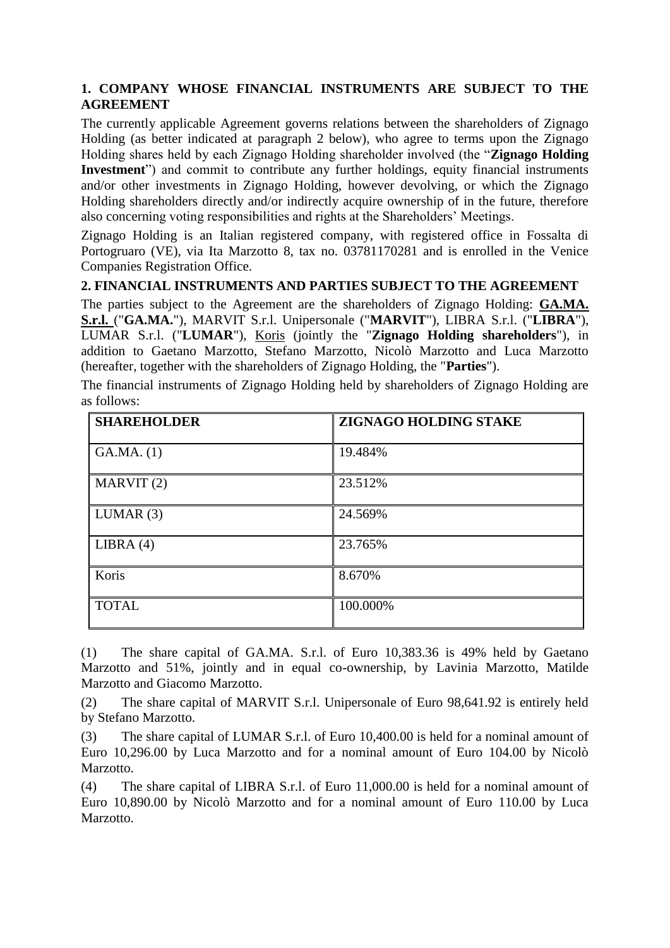#### **1. COMPANY WHOSE FINANCIAL INSTRUMENTS ARE SUBJECT TO THE AGREEMENT**

The currently applicable Agreement governs relations between the shareholders of Zignago Holding (as better indicated at paragraph 2 below), who agree to terms upon the Zignago Holding shares held by each Zignago Holding shareholder involved (the "**Zignago Holding Investment**") and commit to contribute any further holdings, equity financial instruments and/or other investments in Zignago Holding, however devolving, or which the Zignago Holding shareholders directly and/or indirectly acquire ownership of in the future, therefore also concerning voting responsibilities and rights at the Shareholders' Meetings.

Zignago Holding is an Italian registered company, with registered office in Fossalta di Portogruaro (VE), via Ita Marzotto 8, tax no. 03781170281 and is enrolled in the Venice Companies Registration Office.

#### **2. FINANCIAL INSTRUMENTS AND PARTIES SUBJECT TO THE AGREEMENT**

The parties subject to the Agreement are the shareholders of Zignago Holding: **GA.MA. S.r.l.** ("**GA.MA.**"), MARVIT S.r.l. Unipersonale ("**MARVIT**"), LIBRA S.r.l. ("**LIBRA**"), LUMAR S.r.l. ("**LUMAR**"), Koris (jointly the "**Zignago Holding shareholders**"), in addition to Gaetano Marzotto, Stefano Marzotto, Nicolò Marzotto and Luca Marzotto (hereafter, together with the shareholders of Zignago Holding, the "**Parties**").

|             |  |  | The financial instruments of Zignago Holding held by shareholders of Zignago Holding are |  |
|-------------|--|--|------------------------------------------------------------------------------------------|--|
| as follows: |  |  |                                                                                          |  |

| <b>SHAREHOLDER</b> | ZIGNAGO HOLDING STAKE |
|--------------------|-----------------------|
| GA.MA. (1)         | 19.484%               |
| MARKIT(2)          | 23.512%               |
| LUMAR(3)           | 24.569%               |
| LIBRA $(4)$        | 23.765%               |
| Koris              | 8.670%                |
| <b>TOTAL</b>       | 100.000%              |

(1) The share capital of GA.MA. S.r.l. of Euro 10,383.36 is 49% held by Gaetano Marzotto and 51%, jointly and in equal co-ownership, by Lavinia Marzotto, Matilde Marzotto and Giacomo Marzotto.

(2) The share capital of MARVIT S.r.l. Unipersonale of Euro 98,641.92 is entirely held by Stefano Marzotto.

(3) The share capital of LUMAR S.r.l. of Euro 10,400.00 is held for a nominal amount of Euro 10,296.00 by Luca Marzotto and for a nominal amount of Euro 104.00 by Nicolò Marzotto.

(4) The share capital of LIBRA S.r.l. of Euro 11,000.00 is held for a nominal amount of Euro 10,890.00 by Nicolò Marzotto and for a nominal amount of Euro 110.00 by Luca Marzotto.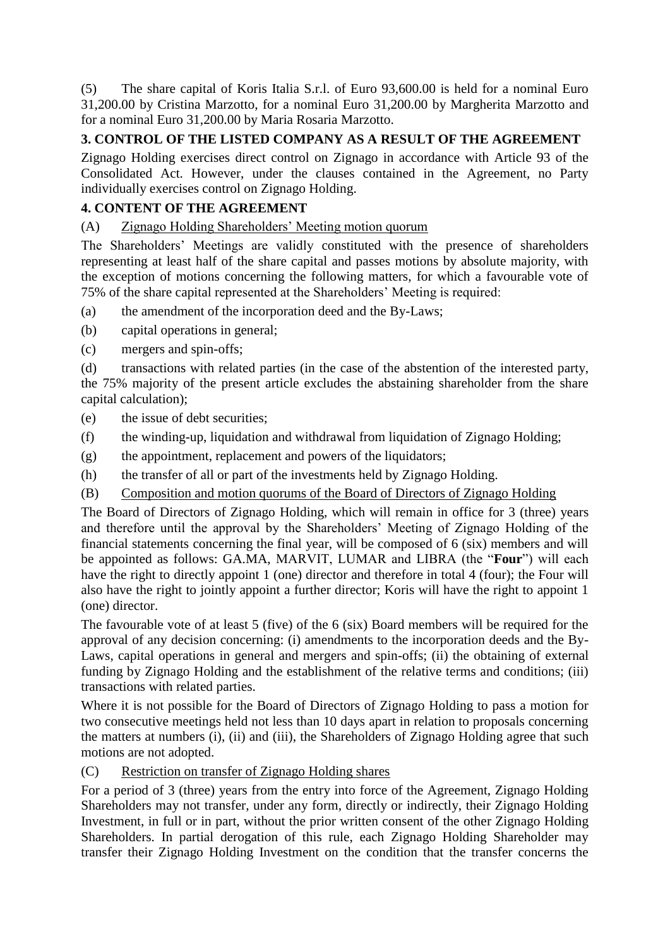(5) The share capital of Koris Italia S.r.l. of Euro 93,600.00 is held for a nominal Euro 31,200.00 by Cristina Marzotto, for a nominal Euro 31,200.00 by Margherita Marzotto and for a nominal Euro 31,200.00 by Maria Rosaria Marzotto.

# **3. CONTROL OF THE LISTED COMPANY AS A RESULT OF THE AGREEMENT**

Zignago Holding exercises direct control on Zignago in accordance with Article 93 of the Consolidated Act. However, under the clauses contained in the Agreement, no Party individually exercises control on Zignago Holding.

# **4. CONTENT OF THE AGREEMENT**

(A) Zignago Holding Shareholders' Meeting motion quorum

The Shareholders' Meetings are validly constituted with the presence of shareholders representing at least half of the share capital and passes motions by absolute majority, with the exception of motions concerning the following matters, for which a favourable vote of 75% of the share capital represented at the Shareholders' Meeting is required:

- (a) the amendment of the incorporation deed and the By-Laws;
- (b) capital operations in general;
- (c) mergers and spin-offs;

(d) transactions with related parties (in the case of the abstention of the interested party, the 75% majority of the present article excludes the abstaining shareholder from the share capital calculation);

- (e) the issue of debt securities;
- (f) the winding-up, liquidation and withdrawal from liquidation of Zignago Holding;
- (g) the appointment, replacement and powers of the liquidators;
- (h) the transfer of all or part of the investments held by Zignago Holding.
- (B) Composition and motion quorums of the Board of Directors of Zignago Holding

The Board of Directors of Zignago Holding, which will remain in office for 3 (three) years and therefore until the approval by the Shareholders' Meeting of Zignago Holding of the financial statements concerning the final year, will be composed of 6 (six) members and will be appointed as follows: GA.MA, MARVIT, LUMAR and LIBRA (the "**Four**") will each have the right to directly appoint 1 (one) director and therefore in total 4 (four); the Four will also have the right to jointly appoint a further director; Koris will have the right to appoint 1 (one) director.

The favourable vote of at least 5 (five) of the 6 (six) Board members will be required for the approval of any decision concerning: (i) amendments to the incorporation deeds and the By-Laws, capital operations in general and mergers and spin-offs; (ii) the obtaining of external funding by Zignago Holding and the establishment of the relative terms and conditions; (iii) transactions with related parties.

Where it is not possible for the Board of Directors of Zignago Holding to pass a motion for two consecutive meetings held not less than 10 days apart in relation to proposals concerning the matters at numbers (i), (ii) and (iii), the Shareholders of Zignago Holding agree that such motions are not adopted.

(C) Restriction on transfer of Zignago Holding shares

For a period of 3 (three) years from the entry into force of the Agreement, Zignago Holding Shareholders may not transfer, under any form, directly or indirectly, their Zignago Holding Investment, in full or in part, without the prior written consent of the other Zignago Holding Shareholders. In partial derogation of this rule, each Zignago Holding Shareholder may transfer their Zignago Holding Investment on the condition that the transfer concerns the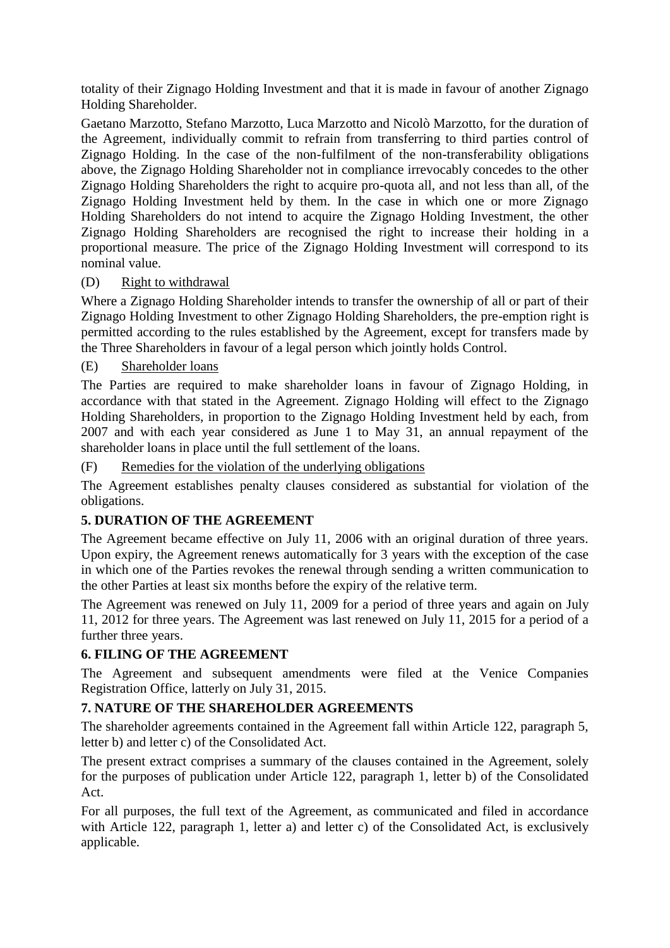totality of their Zignago Holding Investment and that it is made in favour of another Zignago Holding Shareholder.

Gaetano Marzotto, Stefano Marzotto, Luca Marzotto and Nicolò Marzotto, for the duration of the Agreement, individually commit to refrain from transferring to third parties control of Zignago Holding. In the case of the non-fulfilment of the non-transferability obligations above, the Zignago Holding Shareholder not in compliance irrevocably concedes to the other Zignago Holding Shareholders the right to acquire pro-quota all, and not less than all, of the Zignago Holding Investment held by them. In the case in which one or more Zignago Holding Shareholders do not intend to acquire the Zignago Holding Investment, the other Zignago Holding Shareholders are recognised the right to increase their holding in a proportional measure. The price of the Zignago Holding Investment will correspond to its nominal value.

### (D) Right to withdrawal

Where a Zignago Holding Shareholder intends to transfer the ownership of all or part of their Zignago Holding Investment to other Zignago Holding Shareholders, the pre-emption right is permitted according to the rules established by the Agreement, except for transfers made by the Three Shareholders in favour of a legal person which jointly holds Control.

### (E) Shareholder loans

The Parties are required to make shareholder loans in favour of Zignago Holding, in accordance with that stated in the Agreement. Zignago Holding will effect to the Zignago Holding Shareholders, in proportion to the Zignago Holding Investment held by each, from 2007 and with each year considered as June 1 to May 31, an annual repayment of the shareholder loans in place until the full settlement of the loans.

#### (F) Remedies for the violation of the underlying obligations

The Agreement establishes penalty clauses considered as substantial for violation of the obligations.

## **5. DURATION OF THE AGREEMENT**

The Agreement became effective on July 11, 2006 with an original duration of three years. Upon expiry, the Agreement renews automatically for 3 years with the exception of the case in which one of the Parties revokes the renewal through sending a written communication to the other Parties at least six months before the expiry of the relative term.

The Agreement was renewed on July 11, 2009 for a period of three years and again on July 11, 2012 for three years. The Agreement was last renewed on July 11, 2015 for a period of a further three years.

#### **6. FILING OF THE AGREEMENT**

The Agreement and subsequent amendments were filed at the Venice Companies Registration Office, latterly on July 31, 2015.

## **7. NATURE OF THE SHAREHOLDER AGREEMENTS**

The shareholder agreements contained in the Agreement fall within Article 122, paragraph 5, letter b) and letter c) of the Consolidated Act.

The present extract comprises a summary of the clauses contained in the Agreement, solely for the purposes of publication under Article 122, paragraph 1, letter b) of the Consolidated Act.

For all purposes, the full text of the Agreement, as communicated and filed in accordance with Article 122, paragraph 1, letter a) and letter c) of the Consolidated Act, is exclusively applicable.